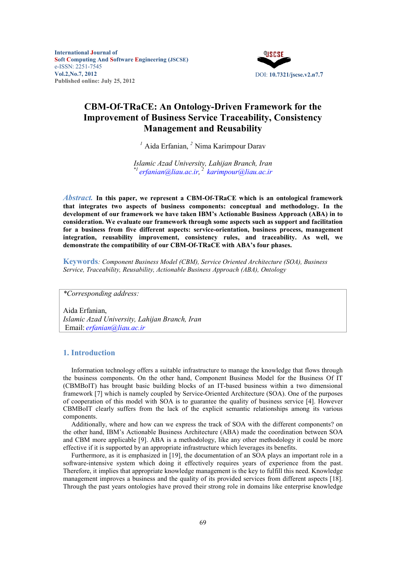

# **CBM-Of-TRaCE: An Ontology-Driven Framework for the Improvement of Business Service Traceability, Consistency Management and Reusability**

*<sup>1</sup>* Aida Erfanian, *<sup>2</sup>* Nima Karimpour Darav

*Islamic Azad University, Lahijan Branch, Iran \*1 erfanian@liau.ac.ir, <sup>2</sup> karimpour@liau.ac.ir*

*Abstract.* **In this paper, we represent a CBM-Of-TRaCE which is an ontological framework that integrates two aspects of business components: conceptual and methodology. In the development of our framework we have taken IBM's Actionable Business Approach (ABA) in to consideration. We evaluate our framework through some aspects such as support and facilitation for a business from five different aspects: service-orientation, business process, management integration, reusability improvement, consistency rules, and traceability. As well, we demonstrate the compatibility of our CBM-Of-TRaCE with ABA's four phases.** 

**Keywords***: Component Business Model (CBM), Service Oriented Architecture (SOA), Business Service, Traceability, Reusability, Actionable Business Approach (ABA), Ontology* 

*\*Corresponding address:*

Aida Erfanian, *Islamic Azad University, Lahijan Branch, Iran*  Email: *erfanian@liau.ac.ir*

# **1. Introduction**

Information technology offers a suitable infrastructure to manage the knowledge that flows through the business components. On the other hand, Component Business Model for the Business Of IT (CBMBoIT) has brought basic building blocks of an IT-based business within a two dimensional framework [7] which is namely coupled by Service-Oriented Architecture (SOA). One of the purposes of cooperation of this model with SOA is to guarantee the quality of business service [4]. However CBMBoIT clearly suffers from the lack of the explicit semantic relationships among its various components.

Additionally, where and how can we express the track of SOA with the different components? on the other hand, IBM's Actionable Business Architecture (ABA) made the coordination between SOA and CBM more applicable [9]. ABA is a methodology, like any other methodology it could be more effective if it is supported by an appropriate infrastructure which leverages its benefits.

Furthermore, as it is emphasized in [19], the documentation of an SOA plays an important role in a software-intensive system which doing it effectively requires years of experience from the past. Therefore, it implies that appropriate knowledge management is the key to fulfill this need. Knowledge management improves a business and the quality of its provided services from different aspects [18]. Through the past years ontologies have proved their strong role in domains like enterprise knowledge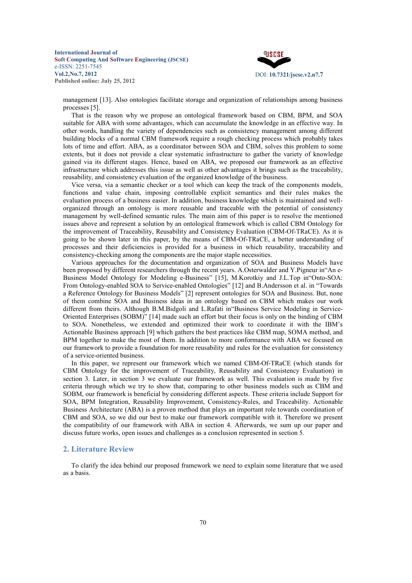

management [13]. Also ontologies facilitate storage and organization of relationships among business processes [5].

That is the reason why we propose an ontological framework based on CBM, BPM, and SOA suitable for ABA with some advantages, which can accumulate the knowledge in an effective way. In other words, handling the variety of dependencies such as consistency management among different building blocks of a normal CBM framework require a rough checking process which probably takes lots of time and effort. ABA, as a coordinator between SOA and CBM, solves this problem to some extents, but it does not provide a clear systematic infrastructure to gather the variety of knowledge gained via its different stages. Hence, based on ABA, we proposed our framework as an effective infrastructure which addresses this issue as well as other advantages it brings such as the traceability, reusability, and consistency evaluation of the organized knowledge of the business.

Vice versa, via a semantic checker or a tool which can keep the track of the components models, functions and value chain, imposing controllable explicit semantics and their rules makes the evaluation process of a business easier. In addition, business knowledge which is maintained and wellorganized through an ontology is more reusable and traceable with the potential of consistency management by well-defined semantic rules. The main aim of this paper is to resolve the mentioned issues above and represent a solution by an ontological framework which is called CBM Ontology for the improvement of Traceability, Reusability and Consistency Evaluation (CBM-Of-TRaCE). As it is going to be shown later in this paper, by the means of CBM-Of-TRaCE, a better understanding of processes and their deficiencies is provided for a business in which reusability, traceability and consistency-checking among the components are the major staple necessities.

Various approaches for the documentation and organization of SOA and Business Models have been proposed by different researchers through the recent years. A.Osterwalder and Y.Pigneur in"An e-Business Model Ontology for Modeling e-Business" [15], M.Korotkiy and J.L.Top in"Onto-SOA: From Ontology-enabled SOA to Service-enabled Ontologies" [12] and B.Andersson et al. in "Towards a Reference Ontology for Business Models" [2] represent ontologies for SOA and Business. But, none of them combine SOA and Business ideas in an ontology based on CBM which makes our work different from theirs. Although B.M.Bidgoli and L.Rafati in"Business Service Modeling in Service-Oriented Enterprises (SOBM)" [14] made such an effort but their focus is only on the binding of CBM to SOA. Nonetheless, we extended and optimized their work to coordinate it with the IBM's Actionable Business approach [9] which gathers the best practices like CBM map, SOMA method, and BPM together to make the most of them. In addition to more conformance with ABA we focused on our framework to provide a foundation for more reusability and rules for the evaluation for consistency of a service-oriented business.

In this paper, we represent our framework which we named CBM-Of-TRaCE (which stands for CBM Ontology for the improvement of Traceability, Reusability and Consistency Evaluation) in section 3. Later, in section 3 we evaluate our framework as well. This evaluation is made by five criteria through which we try to show that, comparing to other business models such as CBM and SOBM, our framework is beneficial by considering different aspects. These criteria include Support for SOA, BPM Integration, Reusability Improvement, Consistency-Rules, and Traceability. Actionable Business Architecture (ABA) is a proven method that plays an important role towards coordination of CBM and SOA, so we did our best to make our framework compatible with it. Therefore we present the compatibility of our framework with ABA in section 4. Afterwards, we sum up our paper and discuss future works, open issues and challenges as a conclusion represented in section 5.

# **2. Literature Review**

To clarify the idea behind our proposed framework we need to explain some literature that we used as a basis.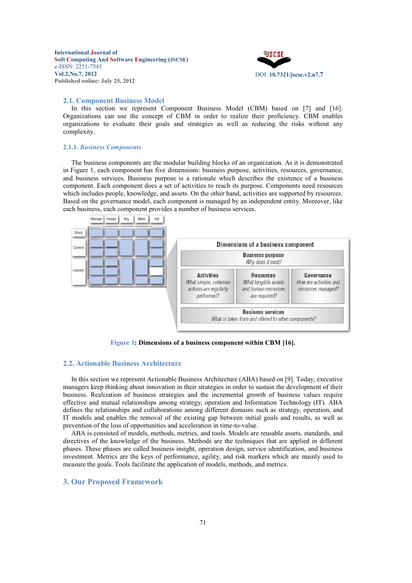

### **2.1. Component Business Model**

In this section we represent Component Business Model (CBM) based on [7] and [16]. Organizations can use the concept of CBM in order to realize their proficiency. CBM enables organizations to evaluate their goals and strategies as well as reducing the risks without any complexity.

### **2.1.1.** *Business Components*

The business components are the modular building blocks of an organization. As it is demonstrated in Figure 1, each component has five dimensions: business purpose, activities, resources, governance, and business services. Business purpose is a rationale which describes the existence of a business component. Each component does a set of activities to reach its purpose. Components need resources which includes people, knowledge, and assets. On the other hand, activities are supported by resources. Based on the governance model, each component is managed by an independent entity. Moreover, like each business, each component provides a number of business services.



**Figure 1: Dimensions of a business component within CBM [16].** 

# **2.2. Actionable Business Architecture**

In this section we represent Actionable Business Architecture (ABA) based on [9]. Today, executive managers keep thinking about innovation in their strategies in order to sustain the development of their business. Realization of business strategies and the incremental growth of business values require effective and mutual relationships among strategy, operation and Information Technology (IT). ABA defines the relationships and collaborations among different domains such as strategy, operation, and IT models and enables the removal of the existing gap between initial goals and results, as well as prevention of the loss of opportunities and acceleration in time-to-value.

ABA is consisted of models, methods, metrics, and tools. Models are reusable assets, standards, and directives of the knowledge of the business. Methods are the techniques that are applied in different phases. These phases are called business insight, operation design, service identification, and business investment. Metrics are the keys of performance, agility, and risk markers which are mainly used to measure the goals. Tools facilitate the application of models, methods, and metrics.

### **3. Our Proposed Framework**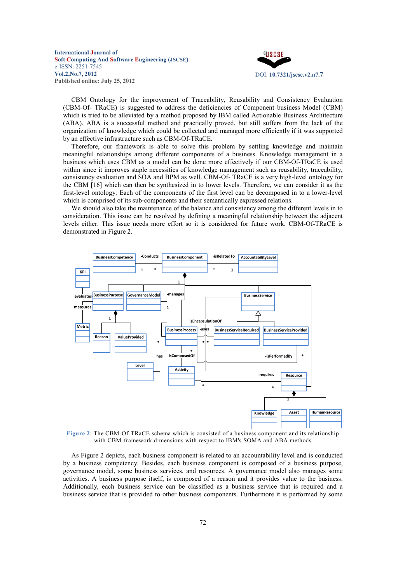

CBM Ontology for the improvement of Traceability, Reusability and Consistency Evaluation (CBM-Of- TRaCE) is suggested to address the deficiencies of Component business Model (CBM) which is tried to be alleviated by a method proposed by IBM called Actionable Business Architecture (ABA). ABA is a successful method and practically proved, but still suffers from the lack of the organization of knowledge which could be collected and managed more efficiently if it was supported by an effective infrastructure such as CBM-Of-TRaCE.

Therefore, our framework is able to solve this problem by settling knowledge and maintain meaningful relationships among different components of a business. Knowledge management in a business which uses CBM as a model can be done more effectively if our CBM-Of-TRaCE is used within since it improves staple necessities of knowledge management such as reusability, traceability, consistency evaluation and SOA and BPM as well. CBM-Of- TRaCE is a very high-level ontology for the CBM [16] which can then be synthesized in to lower levels. Therefore, we can consider it as the first-level ontology. Each of the components of the first level can be decomposed in to a lower-level which is comprised of its sub-components and their semantically expressed relations.

We should also take the maintenance of the balance and consistency among the different levels in to consideration. This issue can be resolved by defining a meaningful relationship between the adjacent levels either. This issue needs more effort so it is considered for future work. CBM-Of-TRaCE is demonstrated in Figure 2.



**Figure 2**: The CBM-Of-TRaCE schema which is consisted of a business component and its relationship with CBM-framework dimensions with respect to IBM's SOMA and ABA methods

As Figure 2 depicts, each business component is related to an accountability level and is conducted by a business competency. Besides, each business component is composed of a business purpose, governance model, some business services, and resources. A governance model also manages some activities. A business purpose itself, is composed of a reason and it provides value to the business. Additionally, each business service can be classified as a business service that is required and a business service that is provided to other business components. Furthermore it is performed by some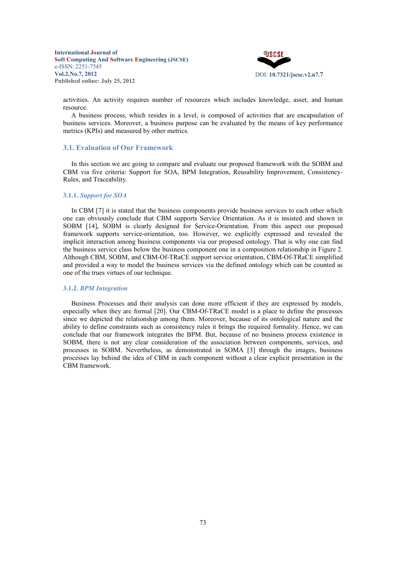

activities. An activity requires number of resources which includes knowledge, asset, and human resource.

A business process, which resides in a level, is composed of activities that are encapsulation of business services. Moreover, a business purpose can be evaluated by the means of key performance metrics (KPIs) and measured by other metrics.

# **3.1. Evaluation of Our Framework**

In this section we are going to compare and evaluate our proposed framework with the SOBM and CBM via five criteria: Support for SOA, BPM Integration, Reusability Improvement, Consistency-Rules, and Traceability.

# **3.1.1.** *Support for SOA*

In CBM [7] it is stated that the business components provide business services to each other which one can obviously conclude that CBM supports Service Orientation. As it is insisted and shown in SOBM [14], SOBM is clearly designed for Service-Orientation. From this aspect our proposed framework supports service-orientation, too. However, we explicitly expressed and revealed the implicit interaction among business components via our proposed ontology. That is why one can find the business service class below the business component one in a composition relationship in Figure 2. Although CBM, SOBM, and CBM-Of-TRaCE support service orientation, CBM-Of-TRaCE simplified and provided a way to model the business services via the defined ontology which can be counted as one of the trues virtues of our technique.

### **3.1.2.** *BPM Integration*

Business Processes and their analysis can done more efficient if they are expressed by models, especially when they are formal [20]. Our CBM-Of-TRaCE model is a place to define the processes since we depicted the relationship among them. Moreover, because of its ontological nature and the ability to define constraints such as consistency rules it brings the required formality. Hence, we can conclude that our framework integrates the BPM. But, because of no business process existence in SOBM, there is not any clear consideration of the association between components, services, and processes in SOBM. Nevertheless, as demonstrated in SOMA [3] through the images, business processes lay behind the idea of CBM in each component without a clear explicit presentation in the CBM framework.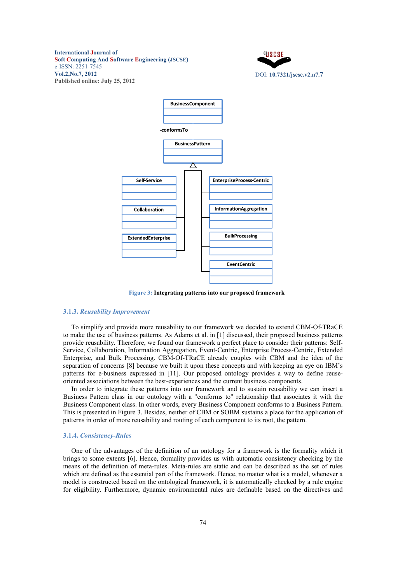#### **International Journal of**

**Soft Computing And Software Engineering (JSCSE)** e-ISSN: 2251-7545 **Vol.2,o.7, 2012 Published online: July 25, 2012** 





**Figure 3: Integrating patterns into our proposed framework** 

### **3.1.3.** *Reusability Improvement*

To simplify and provide more reusability to our framework we decided to extend CBM-Of-TRaCE to make the use of business patterns. As Adams et al. in [1] discussed, their proposed business patterns provide reusability. Therefore, we found our framework a perfect place to consider their patterns: Self-Service, Collaboration, Information Aggregation, Event-Centric, Enterprise Process-Centric, Extended Enterprise, and Bulk Processing. CBM-Of-TRaCE already couples with CBM and the idea of the separation of concerns [8] because we built it upon these concepts and with keeping an eye on IBM's patterns for e-business expressed in [11]. Our proposed ontology provides a way to define reuseoriented associations between the best-experiences and the current business components.

In order to integrate these patterns into our framework and to sustain reusability we can insert a Business Pattern class in our ontology with a "conforms to" relationship that associates it with the Business Component class. In other words, every Business Component conforms to a Business Pattern. This is presented in Figure 3. Besides, neither of CBM or SOBM sustains a place for the application of patterns in order of more reusability and routing of each component to its root, the pattern.

# **3.1.4.** *Consistency-Rules*

One of the advantages of the definition of an ontology for a framework is the formality which it brings to some extents [6]. Hence, formality provides us with automatic consistency checking by the means of the definition of meta-rules. Meta-rules are static and can be described as the set of rules which are defined as the essential part of the framework. Hence, no matter what is a model, whenever a model is constructed based on the ontological framework, it is automatically checked by a rule engine for eligibility. Furthermore, dynamic environmental rules are definable based on the directives and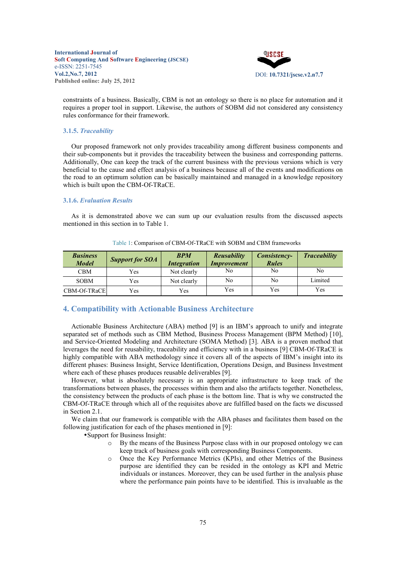

constraints of a business. Basically, CBM is not an ontology so there is no place for automation and it requires a proper tool in support. Likewise, the authors of SOBM did not considered any consistency rules conformance for their framework.

### **3.1.5.** *Traceability*

Our proposed framework not only provides traceability among different business components and their sub-components but it provides the traceability between the business and corresponding patterns. Additionally, One can keep the track of the current business with the previous versions which is very beneficial to the cause and effect analysis of a business because all of the events and modifications on the road to an optimum solution can be basically maintained and managed in a knowledge repository which is built upon the CBM-Of-TRaCE.

# **3.1.6.** *Evaluation Results*

As it is demonstrated above we can sum up our evaluation results from the discussed aspects mentioned in this section in to Table 1.

| <b>Business</b><br><b>Model</b> | <b>Support for SOA</b> | <b>BPM</b><br><b>Integration</b> | <b>Reusability</b><br><i>Improvement</i> | Consistency-<br><b>Rules</b> | <b>Traceability</b> |
|---------------------------------|------------------------|----------------------------------|------------------------------------------|------------------------------|---------------------|
| CBM                             | Yes                    | Not clearly                      | No                                       | No                           | No                  |
| <b>SOBM</b>                     | Yes                    | Not clearly                      | No                                       | No                           | Limited             |
| <b>CBM-Of-TRaCE</b>             | Yes                    | Yes                              | Yes                                      | Yes                          | Yes                 |

### Table 1: Comparison of CBM-Of-TRaCE with SOBM and CBM frameworks

# **4. Compatibility with Actionable Business Architecture**

Actionable Business Architecture (ABA) method [9] is an IBM's approach to unify and integrate separated set of methods such as CBM Method, Business Process Management (BPM Method) [10], and Service-Oriented Modeling and Architecture (SOMA Method) [3]. ABA is a proven method that leverages the need for reusability, traceability and efficiency with in a business [9] CBM-Of-TRaCE is highly compatible with ABA methodology since it covers all of the aspects of IBM's insight into its different phases: Business Insight, Service Identification, Operations Design, and Business Investment where each of these phases produces reusable deliverables [9].

However, what is absolutely necessary is an appropriate infrastructure to keep track of the transformations between phases, the processes within them and also the artifacts together. Nonetheless, the consistency between the products of each phase is the bottom line. That is why we constructed the CBM-Of-TRaCE through which all of the requisites above are fulfilled based on the facts we discussed in Section 2.1.

We claim that our framework is compatible with the ABA phases and facilitates them based on the following justification for each of the phases mentioned in [9]:

•Support for Business Insight:

- o By the means of the Business Purpose class with in our proposed ontology we can keep track of business goals with corresponding Business Components.
- Once the Key Performance Metrics (KPIs), and other Metrics of the Business purpose are identified they can be resided in the ontology as KPI and Metric individuals or instances. Moreover, they can be used further in the analysis phase where the performance pain points have to be identified. This is invaluable as the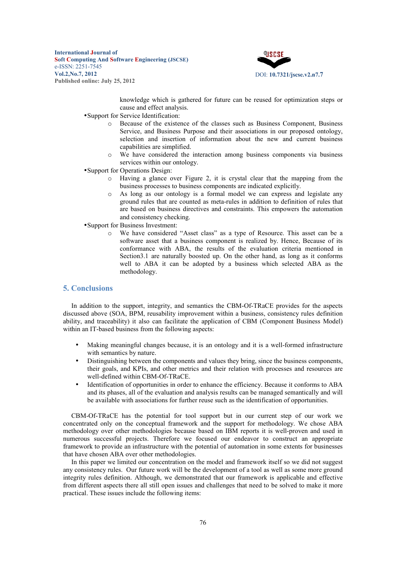

knowledge which is gathered for future can be reused for optimization steps or cause and effect analysis.

- •Support for Service Identification:
	- o Because of the existence of the classes such as Business Component, Business Service, and Business Purpose and their associations in our proposed ontology, selection and insertion of information about the new and current business capabilities are simplified.
	- o We have considered the interaction among business components via business services within our ontology.
- •Support for Operations Design:
	- o Having a glance over Figure 2, it is crystal clear that the mapping from the business processes to business components are indicated explicitly.
	- o As long as our ontology is a formal model we can express and legislate any ground rules that are counted as meta-rules in addition to definition of rules that are based on business directives and constraints. This empowers the automation and consistency checking.
- •Support for Business Investment:
	- o We have considered "Asset class" as a type of Resource. This asset can be a software asset that a business component is realized by. Hence, Because of its conformance with ABA, the results of the evaluation criteria mentioned in Section3.1 are naturally boosted up. On the other hand, as long as it conforms well to ABA it can be adopted by a business which selected ABA as the methodology.

# **5. Conclusions**

In addition to the support, integrity, and semantics the CBM-Of-TRaCE provides for the aspects discussed above (SOA, BPM, reusability improvement within a business, consistency rules definition ability, and traceability) it also can facilitate the application of CBM (Component Business Model) within an IT-based business from the following aspects:

- Making meaningful changes because, it is an ontology and it is a well-formed infrastructure with semantics by nature.
- Distinguishing between the components and values they bring, since the business components, their goals, and KPIs, and other metrics and their relation with processes and resources are well-defined within CBM-Of-TRaCE.
- Identification of opportunities in order to enhance the efficiency. Because it conforms to ABA and its phases, all of the evaluation and analysis results can be managed semantically and will be available with associations for further reuse such as the identification of opportunities.

CBM-Of-TRaCE has the potential for tool support but in our current step of our work we concentrated only on the conceptual framework and the support for methodology. We chose ABA methodology over other methodologies because based on IBM reports it is well-proven and used in numerous successful projects. Therefore we focused our endeavor to construct an appropriate framework to provide an infrastructure with the potential of automation in some extents for businesses that have chosen ABA over other methodologies.

In this paper we limited our concentration on the model and framework itself so we did not suggest any consistency rules. Our future work will be the development of a tool as well as some more ground integrity rules definition. Although, we demonstrated that our framework is applicable and effective from different aspects there all still open issues and challenges that need to be solved to make it more practical. These issues include the following items: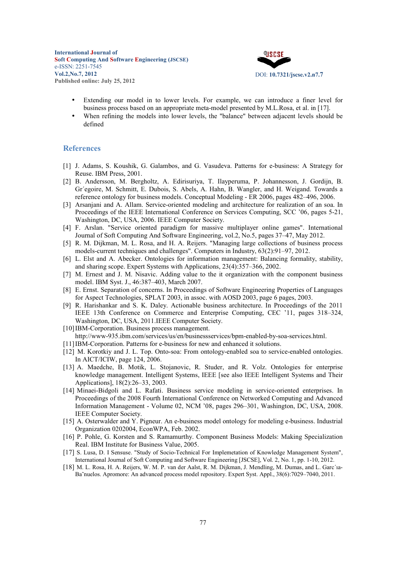

- Extending our model in to lower levels. For example, we can introduce a finer level for business process based on an appropriate meta-model presented by M.L.Rosa, et al. in [17].
- When refining the models into lower levels, the "balance" between adjacent levels should be defined

# **References**

- [1] J. Adams, S. Koushik, G. Galambos, and G. Vasudeva. Patterns for e-business: A Strategy for Reuse. IBM Press, 2001.
- [2] B. Andersson, M. Bergholtz, A. Edirisuriya, T. Ilayperuma, P. Johannesson, J. Gordijn, B. Gr´egoire, M. Schmitt, E. Dubois, S. Abels, A. Hahn, B. Wangler, and H. Weigand. Towards a reference ontology for business models. Conceptual Modeling - ER 2006, pages 482–496, 2006.
- [3] Arsanjani and A. Allam. Service-oriented modeling and architecture for realization of an soa. In Proceedings of the IEEE International Conference on Services Computing, SCC '06, pages 5-21, Washington, DC, USA, 2006. IEEE Computer Society.
- [4] F. Arslan. "Service oriented paradigm for massive multiplayer online games". International Journal of Soft Computing And Software Engineering, vol.2, No.5, pages 37–47, May 2012.
- [5] R. M. Dijkman, M. L. Rosa, and H. A. Reijers. "Managing large collections of business process models-current techniques and challenges". Computers in Industry, 63(2):91–97, 2012.
- [6] L. Elst and A. Abecker. Ontologies for information management: Balancing formality, stability, and sharing scope. Expert Systems with Applications, 23(4):357–366, 2002.
- [7] M. Ernest and J. M. Nisavic. Adding value to the it organization with the component business model. IBM Syst. J., 46:387–403, March 2007.
- [8] E. Ernst. Separation of concerns. In Proceedings of Software Engineering Properties of Languages for Aspect Technologies, SPLAT 2003, in assoc. with AOSD 2003, page 6 pages, 2003.
- [9] R. Harishankar and S. K. Daley. Actionable business architecture. In Proceedings of the 2011 IEEE 13th Conference on Commerce and Enterprise Computing, CEC '11, pages 318–324, Washington, DC, USA, 2011.IEEE Computer Society.
- [10] IBM-Corporation. Business process management. http://www-935.ibm.com/services/us/en/businessservices/bpm-enabled-by-soa-services.html.
- [11] IBM-Corporation. Patterns for e-business for new and enhanced it solutions.
- [12] M. Korotkiy and J. L. Top. Onto-soa: From ontology-enabled soa to service-enabled ontologies. In AICT/ICIW, page 124, 2006.
- [13] A. Maedche, B. Motik, L. Stojanovic, R. Studer, and R. Volz. Ontologies for enterprise knowledge management. Intelligent Systems, IEEE [see also IEEE Intelligent Systems and Their Applications], 18(2):26–33, 2003.
- [14] Minaei-Bidgoli and L. Rafati. Business service modeling in service-oriented enterprises. In Proceedings of the 2008 Fourth International Conference on Networked Computing and Advanced Information Management - Volume 02, NCM '08, pages 296–301, Washington, DC, USA, 2008. IEEE Computer Society.
- [15] A. Osterwalder and Y. Pigneur. An e-business model ontology for modeling e-business. Industrial Organization 0202004, EconWPA, Feb. 2002.
- [16] P. Pohle, G. Korsten and S. Ramamurthy. Component Business Models: Making Specialization Real. IBM Institute for Business Value, 2005.
- [17] S. Lusa, D. I Sensuse. "Study of Socio-Technical For Implemetation of Knowledge Management System", International Journal of Soft Computing and Software Engineering [JSCSE], Vol. 2, No. 1, pp. 1-10, 2012.
- [18] M. L. Rosa, H. A. Reijers, W. M. P. van der Aalst, R. M. Dijkman, J. Mendling, M. Dumas, and L. Garc'ia-Ba˜nuelos. Apromore: An advanced process model repository. Expert Syst. Appl., 38(6):7029–7040, 2011.